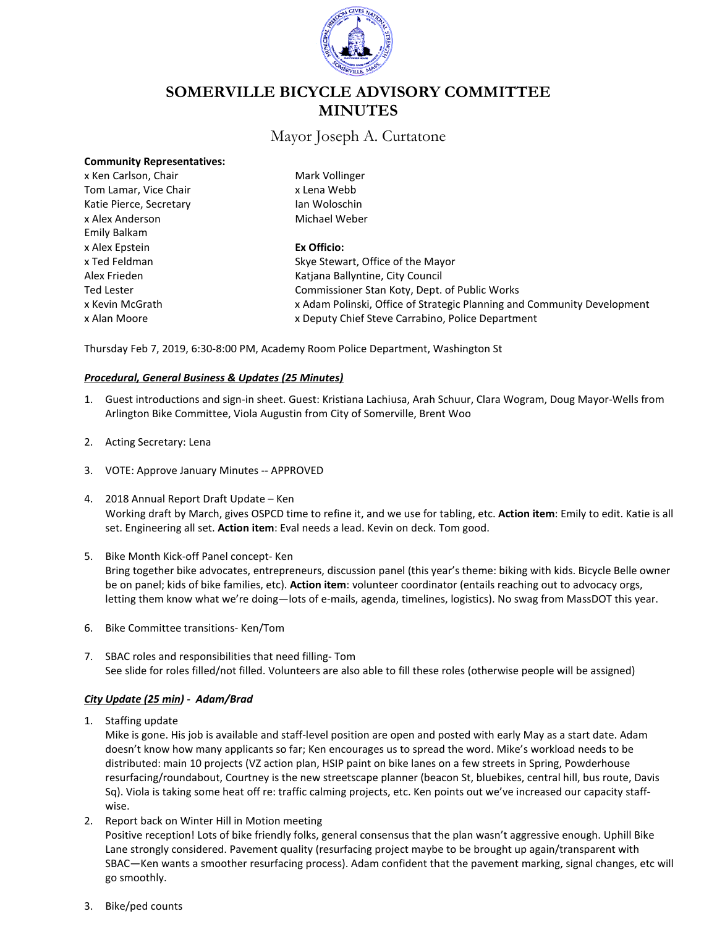

# **SOMERVILLE BICYCLE ADVISORY COMMITTEE MINUTES**

## Mayor Joseph A. Curtatone

| x Ken Carlson, Chair    | Mark Vollinger                                                          |
|-------------------------|-------------------------------------------------------------------------|
| Tom Lamar, Vice Chair   | x Lena Webb                                                             |
| Katie Pierce, Secretary | Jan Woloschin                                                           |
| x Alex Anderson         | Michael Weber                                                           |
| Emily Balkam            |                                                                         |
| x Alex Epstein          | Ex Officio:                                                             |
| x Ted Feldman           | Skye Stewart, Office of the Mayor                                       |
| Alex Frieden            | Katiana Ballyntine, City Council                                        |
| <b>Ted Lester</b>       | Commissioner Stan Koty, Dept. of Public Works                           |
| x Kevin McGrath         | x Adam Polinski, Office of Strategic Planning and Community Development |
| x Alan Moore            | x Deputy Chief Steve Carrabino, Police Department                       |
|                         |                                                                         |

Thursday Feb 7, 2019, 6:30-8:00 PM, Academy Room Police Department, Washington St

#### *Procedural, General Business & Updates (25 Minutes)*

- 1. Guest introductions and sign-in sheet. Guest: Kristiana Lachiusa, Arah Schuur, Clara Wogram, Doug Mayor-Wells from Arlington Bike Committee, Viola Augustin from City of Somerville, Brent Woo
- 2. Acting Secretary: Lena

**Community Representatives:**

- 3. VOTE: Approve January Minutes -- APPROVED
- 4. 2018 Annual Report Draft Update Ken Working draft by March, gives OSPCD time to refine it, and we use for tabling, etc. **Action item**: Emily to edit. Katie is all set. Engineering all set. **Action item**: Eval needs a lead. Kevin on deck. Tom good.
- 5. Bike Month Kick-off Panel concept- Ken Bring together bike advocates, entrepreneurs, discussion panel (this year's theme: biking with kids. Bicycle Belle owner be on panel; kids of bike families, etc). **Action item**: volunteer coordinator (entails reaching out to advocacy orgs, letting them know what we're doing—lots of e-mails, agenda, timelines, logistics). No swag from MassDOT this year.
- 6. Bike Committee transitions- Ken/Tom
- 7. SBAC roles and responsibilities that need filling- Tom See slide for roles filled/not filled. Volunteers are also able to fill these roles (otherwise people will be assigned)

#### *City Update (25 min) - Adam/Brad*

1. Staffing update

Mike is gone. His job is available and staff-level position are open and posted with early May as a start date. Adam doesn't know how many applicants so far; Ken encourages us to spread the word. Mike's workload needs to be distributed: main 10 projects (VZ action plan, HSIP paint on bike lanes on a few streets in Spring, Powderhouse resurfacing/roundabout, Courtney is the new streetscape planner (beacon St, bluebikes, central hill, bus route, Davis Sq). Viola is taking some heat off re: traffic calming projects, etc. Ken points out we've increased our capacity staffwise.

2. Report back on Winter Hill in Motion meeting

Positive reception! Lots of bike friendly folks, general consensus that the plan wasn't aggressive enough. Uphill Bike Lane strongly considered. Pavement quality (resurfacing project maybe to be brought up again/transparent with SBAC—Ken wants a smoother resurfacing process). Adam confident that the pavement marking, signal changes, etc will go smoothly.

3. Bike/ped counts